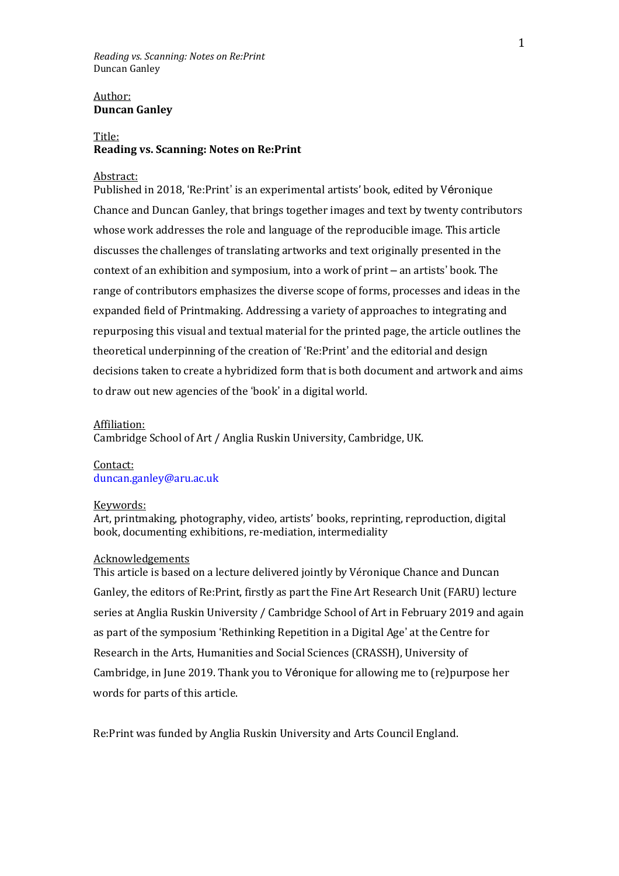## Author: **Duncan Ganley**

## Title: **Reading vs. Scanning: Notes on Re:Print**

### Abstract:

Published in 2018, 'Re:Print' is an experimental artists' book, edited by Véronique Chance and Duncan Ganley, that brings together images and text by twenty contributors whose work addresses the role and language of the reproducible image. This article discusses the challenges of translating artworks and text originally presented in the context of an exhibition and symposium, into a work of print – an artists' book. The range of contributors emphasizes the diverse scope of forms, processes and ideas in the expanded field of Printmaking. Addressing a variety of approaches to integrating and repurposing this visual and textual material for the printed page, the article outlines the theoretical underpinning of the creation of 'Re:Print' and the editorial and design decisions taken to create a hybridized form that is both document and artwork and aims to draw out new agencies of the 'book' in a digital world.

#### Affiliation:

Cambridge School of Art / Anglia Ruskin University, Cambridge, UK.

#### Contact: duncan.ganley@aru.ac.uk

#### Keywords:

Art, printmaking, photography, video, artists' books, reprinting, reproduction, digital book, documenting exhibitions, re-mediation, intermediality

## Acknowledgements

This article is based on a lecture delivered jointly by Véronique Chance and Duncan Ganley, the editors of Re:Print, firstly as part the Fine Art Research Unit (FARU) lecture series at Anglia Ruskin University / Cambridge School of Art in February 2019 and again as part of the symposium 'Rethinking Repetition in a Digital Age' at the Centre for Research in the Arts, Humanities and Social Sciences (CRASSH), University of Cambridge, in June 2019. Thank you to Véronique for allowing me to (re)purpose her words for parts of this article.

Re:Print was funded by Anglia Ruskin University and Arts Council England.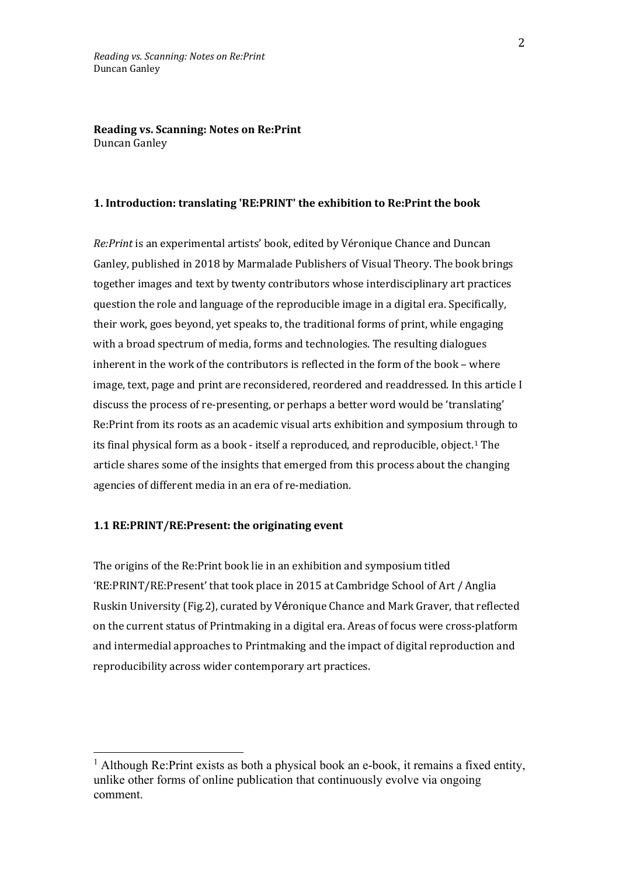#### **1. Introduction: translating 'RE:PRINT' the exhibition to Re:Print the book**

*Re:Print* is an experimental artists' book, edited by Véronique Chance and Duncan Ganley, published in 2018 by Marmalade Publishers of Visual Theory. The book brings together images and text by twenty contributors whose interdisciplinary art practices question the role and language of the reproducible image in a digital era. Specifically, their work, goes beyond, yet speaks to, the traditional forms of print, while engaging with a broad spectrum of media, forms and technologies. The resulting dialogues inherent in the work of the contributors is reflected in the form of the book – where image, text, page and print are reconsidered, reordered and readdressed. In this article I discuss the process of re-presenting, or perhaps a better word would be 'translating' Re:Print from its roots as an academic visual arts exhibition and symposium through to its final physical form as a book - itself a reproduced, and reproducible, object.[1](#page-1-0) The article shares some of the insights that emerged from this process about the changing agencies of different media in an era of re-mediation.

## **1.1 RE:PRINT/RE:Present: the originating event**

The origins of the Re:Print book lie in an exhibition and symposium titled 'RE:PRINT/RE:Present' that took place in 2015 at Cambridge School of Art / Anglia Ruskin University (Fig.2), curated by Véronique Chance and Mark Graver, that reflected on the current status of Printmaking in a digital era. Areas of focus were cross-platform and intermedial approaches to Printmaking and the impact of digital reproduction and reproducibility across wider contemporary art practices.

<span id="page-1-0"></span> $<sup>1</sup>$  Although Re:Print exists as both a physical book an e-book, it remains a fixed entity,</sup> unlike other forms of online publication that continuously evolve via ongoing comment.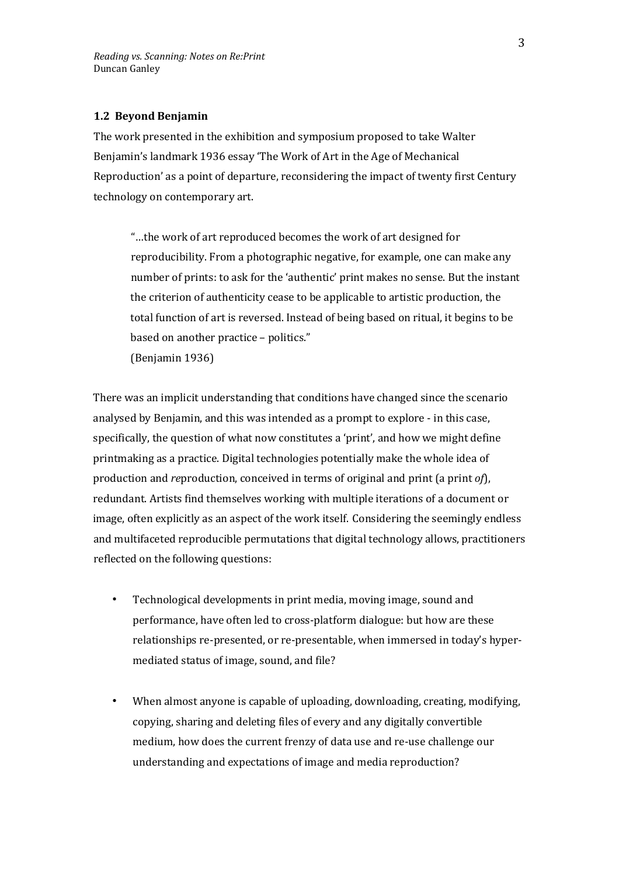## **1.2 Beyond Benjamin**

The work presented in the exhibition and symposium proposed to take Walter Benjamin's landmark 1936 essay 'The Work of Art in the Age of Mechanical Reproduction' as a point of departure, reconsidering the impact of twenty first Century technology on contemporary art.

"…the work of art reproduced becomes the work of art designed for reproducibility. From a photographic negative, for example, one can make any number of prints: to ask for the 'authentic' print makes no sense. But the instant the criterion of authenticity cease to be applicable to artistic production, the total function of art is reversed. Instead of being based on ritual, it begins to be based on another practice – politics."

(Benjamin 1936)

There was an implicit understanding that conditions have changed since the scenario analysed by Benjamin, and this was intended as a prompt to explore - in this case, specifically, the question of what now constitutes a 'print', and how we might define printmaking as a practice. Digital technologies potentially make the whole idea of production and *re*production, conceived in terms of original and print (a print *of*), redundant. Artists find themselves working with multiple iterations of a document or image, often explicitly as an aspect of the work itself. Considering the seemingly endless and multifaceted reproducible permutations that digital technology allows, practitioners reflected on the following questions:

- Technological developments in print media, moving image, sound and performance, have often led to cross-platform dialogue: but how are these relationships re-presented, or re-presentable, when immersed in today's hypermediated status of image, sound, and file?
- When almost anyone is capable of uploading, downloading, creating, modifying, copying, sharing and deleting files of every and any digitally convertible medium, how does the current frenzy of data use and re-use challenge our understanding and expectations of image and media reproduction?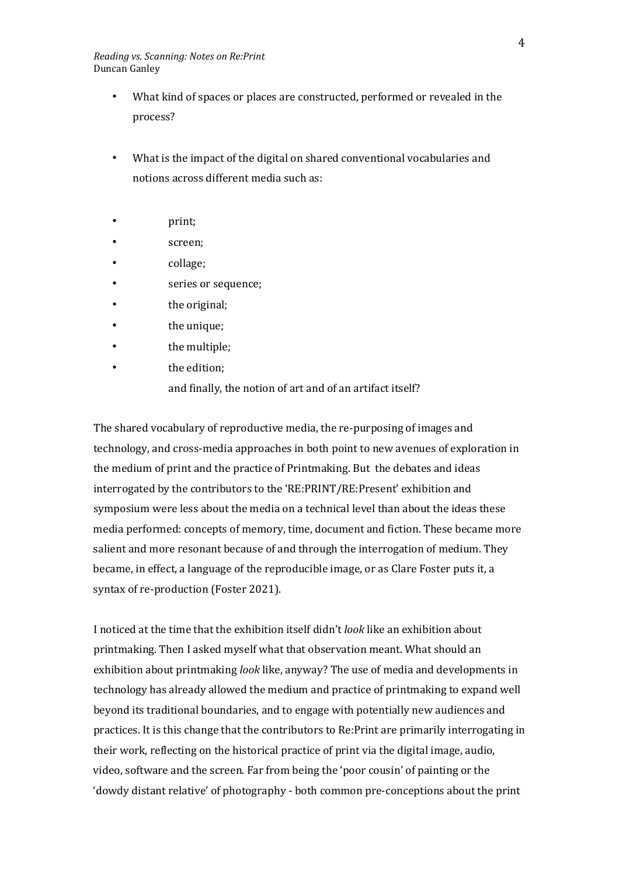- What kind of spaces or places are constructed, performed or revealed in the process?
- What is the impact of the digital on shared conventional vocabularies and notions across different media such as:
- print;
- screen;
- collage;
- series or sequence;
- the original;
- the unique;
- the multiple;
- the edition; and finally, the notion of art and of an artifact itself?

The shared vocabulary of reproductive media, the re-purposing of images and technology, and cross-media approaches in both point to new avenues of exploration in the medium of print and the practice of Printmaking. But the debates and ideas interrogated by the contributors to the 'RE:PRINT/RE:Present' exhibition and symposium were less about the media on a technical level than about the ideas these media performed: concepts of memory, time, document and fiction. These became more salient and more resonant because of and through the interrogation of medium. They became, in effect, a language of the reproducible image, or as Clare Foster puts it, a syntax of re-production (Foster 2021).

I noticed at the time that the exhibition itself didn't *look* like an exhibition about printmaking. Then I asked myself what that observation meant. What should an exhibition about printmaking *look* like, anyway? The use of media and developments in technology has already allowed the medium and practice of printmaking to expand well beyond its traditional boundaries, and to engage with potentially new audiences and practices. It is this change that the contributors to Re:Print are primarily interrogating in their work, reflecting on the historical practice of print via the digital image, audio, video, software and the screen. Far from being the 'poor cousin' of painting or the 'dowdy distant relative' of photography - both common pre-conceptions about the print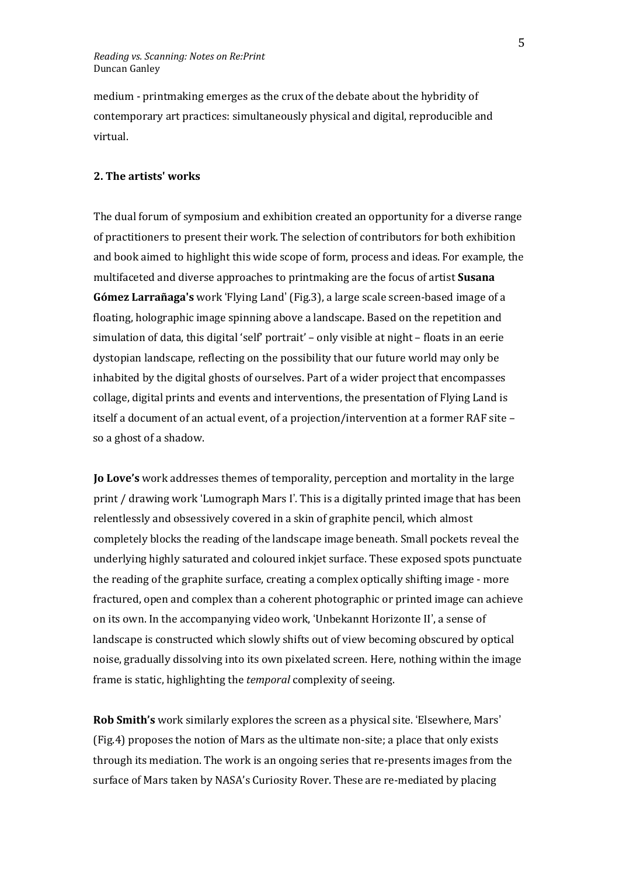medium - printmaking emerges as the crux of the debate about the hybridity of contemporary art practices: simultaneously physical and digital, reproducible and virtual.

## **2. The artists' works**

The dual forum of symposium and exhibition created an opportunity for a diverse range of practitioners to present their work. The selection of contributors for both exhibition and book aimed to highlight this wide scope of form, process and ideas. For example, the multifaceted and diverse approaches to printmaking are the focus of artist **Susana Gómez Larrañaga's** work 'Flying Land' (Fig.3), a large scale screen-based image of a floating, holographic image spinning above a landscape. Based on the repetition and simulation of data, this digital 'self' portrait' – only visible at night – floats in an eerie dystopian landscape, reflecting on the possibility that our future world may only be inhabited by the digital ghosts of ourselves. Part of a wider project that encompasses collage, digital prints and events and interventions, the presentation of Flying Land is itself a document of an actual event, of a projection/intervention at a former RAF site – so a ghost of a shadow.

**Jo Love's** work addresses themes of temporality, perception and mortality in the large print / drawing work 'Lumograph Mars I'*.* This is a digitally printed image that has been relentlessly and obsessively covered in a skin of graphite pencil, which almost completely blocks the reading of the landscape image beneath. Small pockets reveal the underlying highly saturated and coloured inkjet surface. These exposed spots punctuate the reading of the graphite surface, creating a complex optically shifting image - more fractured, open and complex than a coherent photographic or printed image can achieve on its own. In the accompanying video work, 'Unbekannt Horizonte II', a sense of landscape is constructed which slowly shifts out of view becoming obscured by optical noise, gradually dissolving into its own pixelated screen. Here, nothing within the image frame is static, highlighting the *temporal* complexity of seeing.

**Rob Smith's** work similarly explores the screen as a physical site. 'Elsewhere, Mars' (Fig.4) proposes the notion of Mars as the ultimate non-site; a place that only exists through its mediation. The work is an ongoing series that re-presents images from the surface of Mars taken by NASA's Curiosity Rover. These are re-mediated by placing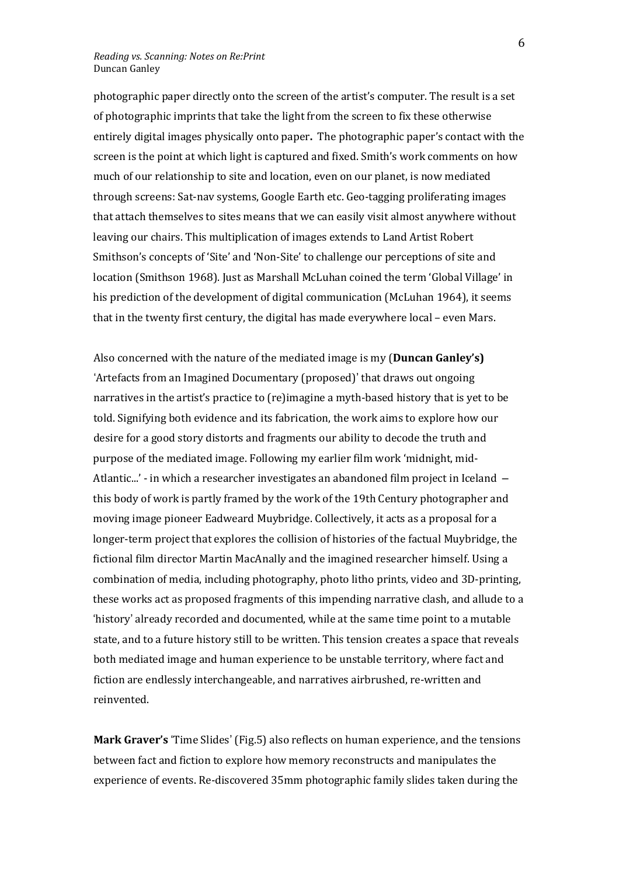photographic paper directly onto the screen of the artist's computer. The result is a set of photographic imprints that take the light from the screen to fix these otherwise entirely digital images physically onto paper**.** The photographic paper's contact with the screen is the point at which light is captured and fixed. Smith's work comments on how much of our relationship to site and location, even on our planet, is now mediated through screens: Sat-nav systems, Google Earth etc. Geo-tagging proliferating images that attach themselves to sites means that we can easily visit almost anywhere without leaving our chairs. This multiplication of images extends to Land Artist Robert Smithson's concepts of 'Site' and 'Non-Site' to challenge our perceptions of site and location (Smithson 1968). Just as Marshall McLuhan coined the term 'Global Village' in his prediction of the development of digital communication (McLuhan 1964), it seems that in the twenty first century, the digital has made everywhere local – even Mars.

Also concerned with the nature of the mediated image is my (**Duncan Ganley's)** 'Artefacts from an Imagined Documentary (proposed)' that draws out ongoing narratives in the artist's practice to (re)imagine a myth-based history that is yet to be told. Signifying both evidence and its fabrication, the work aims to explore how our desire for a good story distorts and fragments our ability to decode the truth and purpose of the mediated image. Following my earlier film work 'midnight, mid-Atlantic...' - in which a researcher investigates an abandoned film project in Iceland – this body of work is partly framed by the work of the 19th Century photographer and moving image pioneer Eadweard Muybridge. Collectively, it acts as a proposal for a longer-term project that explores the collision of histories of the factual Muybridge, the fictional film director Martin MacAnally and the imagined researcher himself. Using a combination of media, including photography, photo litho prints, video and 3D-printing, these works act as proposed fragments of this impending narrative clash, and allude to a 'history' already recorded and documented, while at the same time point to a mutable state, and to a future history still to be written. This tension creates a space that reveals both mediated image and human experience to be unstable territory, where fact and fiction are endlessly interchangeable, and narratives airbrushed, re-written and reinvented.

**Mark Graver's** 'Time Slides' (Fig.5) also reflects on human experience, and the tensions between fact and fiction to explore how memory reconstructs and manipulates the experience of events. Re-discovered 35mm photographic family slides taken during the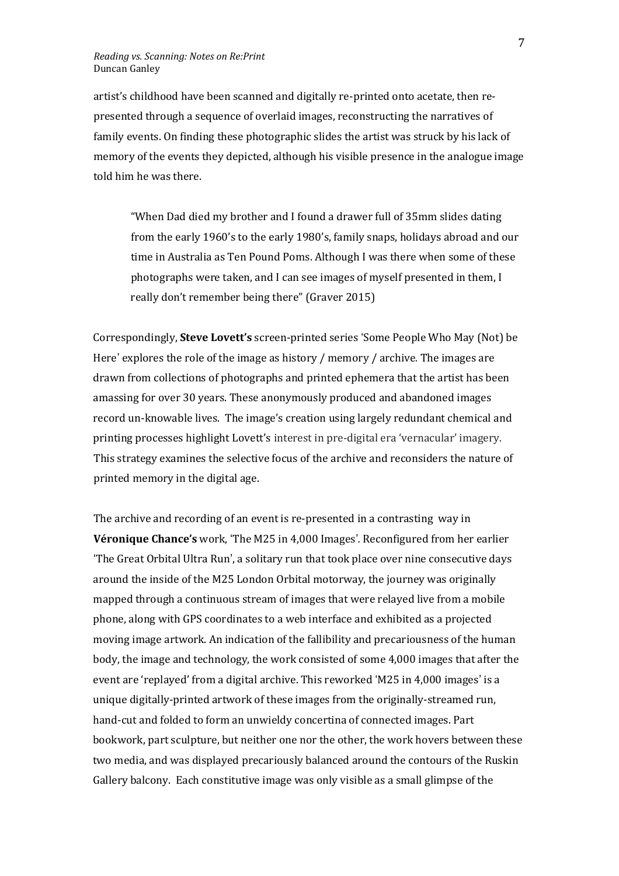artist's childhood have been scanned and digitally re-printed onto acetate, then represented through a sequence of overlaid images, reconstructing the narratives of family events. On finding these photographic slides the artist was struck by his lack of memory of the events they depicted, although his visible presence in the analogue image told him he was there.

"When Dad died my brother and I found a drawer full of 35mm slides dating from the early 1960's to the early 1980's, family snaps, holidays abroad and our time in Australia as Ten Pound Poms. Although I was there when some of these photographs were taken, and I can see images of myself presented in them, I really don't remember being there" (Graver 2015)

Correspondingly, **Steve Lovett's** screen-printed series 'Some People Who May (Not) be Here' explores the role of the image as history / memory / archive*.* The images are drawn from collections of photographs and printed ephemera that the artist has been amassing for over 30 years. These anonymously produced and abandoned images record un-knowable lives. The image's creation using largely redundant chemical and printing processes highlight Lovett's interest in pre-digital era 'vernacular' imagery. This strategy examines the selective focus of the archive and reconsiders the nature of printed memory in the digital age.

The archive and recording of an event is re-presented in a contrasting way in **Véronique Chance's** work, 'The M25 in 4,000 Images'*.* Reconfigured from her earlier 'The Great Orbital Ultra Run', a solitary run that took place over nine consecutive days around the inside of the M25 London Orbital motorway, the journey was originally mapped through a continuous stream of images that were relayed live from a mobile phone, along with GPS coordinates to a web interface and exhibited as a projected moving image artwork. An indication of the fallibility and precariousness of the human body, the image and technology, the work consisted of some 4,000 images that after the event are 'replayed' from a digital archive. This reworked 'M25 in 4,000 images' is a unique digitally-printed artwork of these images from the originally-streamed run, hand-cut and folded to form an unwieldy concertina of connected images. Part bookwork, part sculpture, but neither one nor the other, the work hovers between these two media, and was displayed precariously balanced around the contours of the Ruskin Gallery balcony. Each constitutive image was only visible as a small glimpse of the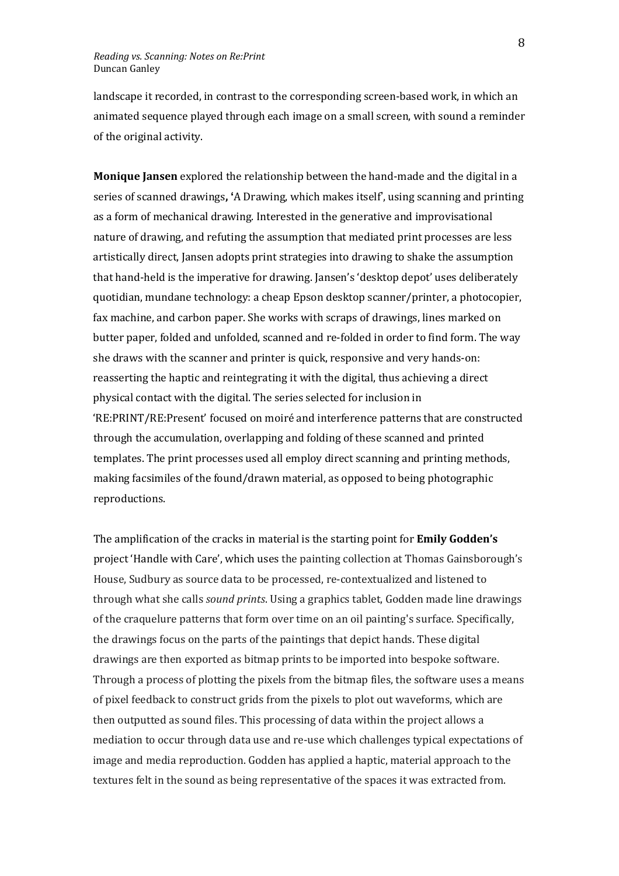landscape it recorded, in contrast to the corresponding screen-based work, in which an animated sequence played through each image on a small screen, with sound a reminder of the original activity.

**Monique Jansen** explored the relationship between the hand-made and the digital in a series of scanned drawings**, '**A Drawing, which makes itself', using scanning and printing as a form of mechanical drawing. Interested in the generative and improvisational nature of drawing, and refuting the assumption that mediated print processes are less artistically direct, Jansen adopts print strategies into drawing to shake the assumption that hand-held is the imperative for drawing. Jansen's 'desktop depot' uses deliberately quotidian, mundane technology: a cheap Epson desktop scanner/printer, a photocopier, fax machine, and carbon paper. She works with scraps of drawings, lines marked on butter paper, folded and unfolded, scanned and re-folded in order to find form. The way she draws with the scanner and printer is quick, responsive and very hands-on: reasserting the haptic and reintegrating it with the digital, thus achieving a direct physical contact with the digital. The series selected for inclusion in 'RE:PRINT/RE:Present' focused on moiré and interference patterns that are constructed through the accumulation, overlapping and folding of these scanned and printed templates. The print processes used all employ direct scanning and printing methods, making facsimiles of the found/drawn material, as opposed to being photographic reproductions.

The amplification of the cracks in material is the starting point for **Emily Godden's** project 'Handle with Care', which uses the painting collection at Thomas Gainsborough's House, Sudbury as source data to be processed, re-contextualized and listened to through what she calls *sound prints*. Using a graphics tablet, Godden made line drawings of the craquelure patterns that form over time on an oil painting's surface. Specifically, the drawings focus on the parts of the paintings that depict hands. These digital drawings are then exported as bitmap prints to be imported into bespoke software. Through a process of plotting the pixels from the bitmap files, the software uses a means of pixel feedback to construct grids from the pixels to plot out waveforms, which are then outputted as sound files. This processing of data within the project allows a mediation to occur through data use and re-use which challenges typical expectations of image and media reproduction. Godden has applied a haptic, material approach to the textures felt in the sound as being representative of the spaces it was extracted from.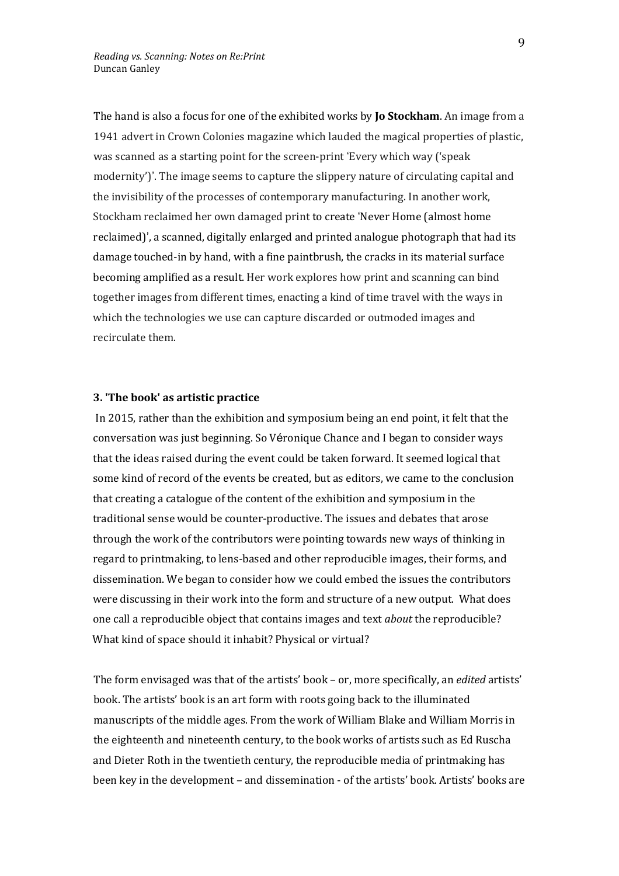The hand is also a focus for one of the exhibited works by **Jo Stockham**. An image from a 1941 advert in Crown Colonies magazine which lauded the magical properties of plastic, was scanned as a starting point for the screen-print 'Every which way ('speak modernity')'. The image seems to capture the slippery nature of circulating capital and the invisibility of the processes of contemporary manufacturing. In another work, Stockham reclaimed her own damaged print to create 'Never Home (almost home reclaimed)', a scanned, digitally enlarged and printed analogue photograph that had its damage touched-in by hand, with a fine paintbrush, the cracks in its material surface becoming amplified as a result. Her work explores how print and scanning can bind together images from different times, enacting a kind of time travel with the ways in which the technologies we use can capture discarded or outmoded images and recirculate them.

#### **3. 'The book' as artistic practice**

In 2015, rather than the exhibition and symposium being an end point, it felt that the conversation was just beginning. So Véronique Chance and I began to consider ways that the ideas raised during the event could be taken forward. It seemed logical that some kind of record of the events be created, but as editors, we came to the conclusion that creating a catalogue of the content of the exhibition and symposium in the traditional sense would be counter-productive. The issues and debates that arose through the work of the contributors were pointing towards new ways of thinking in regard to printmaking, to lens-based and other reproducible images, their forms, and dissemination. We began to consider how we could embed the issues the contributors were discussing in their work into the form and structure of a new output. What does one call a reproducible object that contains images and text *about* the reproducible? What kind of space should it inhabit? Physical or virtual?

The form envisaged was that of the artists' book – or, more specifically, an *edited* artists' book. The artists' book is an art form with roots going back to the illuminated manuscripts of the middle ages. From the work of William Blake and William Morris in the eighteenth and nineteenth century, to the book works of artists such as Ed Ruscha and Dieter Roth in the twentieth century, the reproducible media of printmaking has been key in the development – and dissemination - of the artists' book. Artists' books are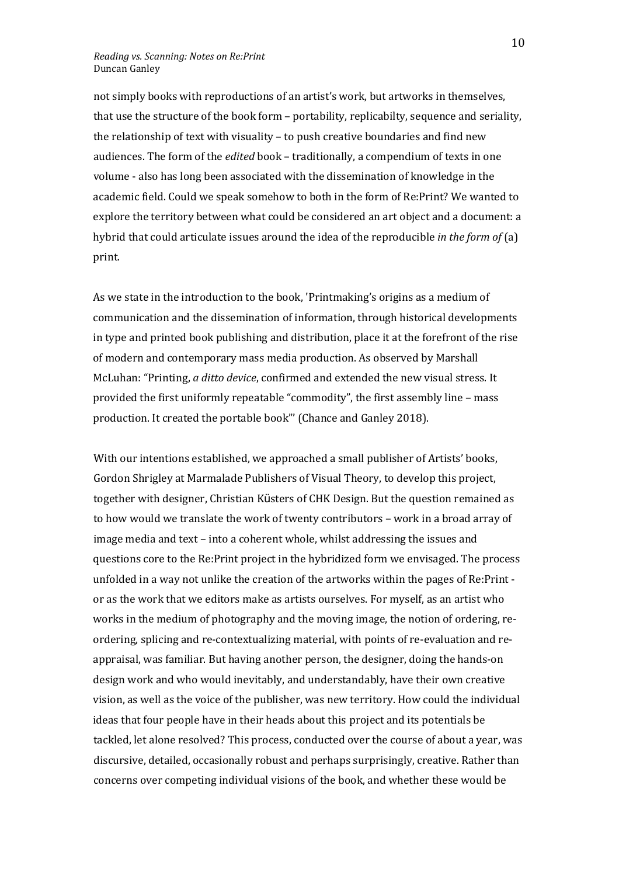not simply books with reproductions of an artist's work, but artworks in themselves, that use the structure of the book form – portability, replicabilty, sequence and seriality, the relationship of text with visuality – to push creative boundaries and find new audiences. The form of the *edited* book – traditionally, a compendium of texts in one volume - also has long been associated with the dissemination of knowledge in the academic field. Could we speak somehow to both in the form of Re:Print? We wanted to explore the territory between what could be considered an art object and a document: a hybrid that could articulate issues around the idea of the reproducible *in the form of* (a) print.

As we state in the introduction to the book, 'Printmaking's origins as a medium of communication and the dissemination of information, through historical developments in type and printed book publishing and distribution, place it at the forefront of the rise of modern and contemporary mass media production. As observed by Marshall McLuhan: "Printing, *a ditto device*, confirmed and extended the new visual stress. It provided the first uniformly repeatable "commodity", the first assembly line – mass production. It created the portable book"' (Chance and Ganley 2018).

With our intentions established, we approached a small publisher of Artists' books, Gordon Shrigley at Marmalade Publishers of Visual Theory, to develop this project, together with designer, Christian Küsters of CHK Design. But the question remained as to how would we translate the work of twenty contributors – work in a broad array of image media and text – into a coherent whole, whilst addressing the issues and questions core to the Re:Print project in the hybridized form we envisaged. The process unfolded in a way not unlike the creation of the artworks within the pages of Re:Print or as the work that we editors make as artists ourselves. For myself, as an artist who works in the medium of photography and the moving image, the notion of ordering, reordering, splicing and re-contextualizing material, with points of re-evaluation and reappraisal, was familiar. But having another person, the designer, doing the hands-on design work and who would inevitably, and understandably, have their own creative vision, as well as the voice of the publisher, was new territory. How could the individual ideas that four people have in their heads about this project and its potentials be tackled, let alone resolved? This process, conducted over the course of about a year, was discursive, detailed, occasionally robust and perhaps surprisingly, creative. Rather than concerns over competing individual visions of the book, and whether these would be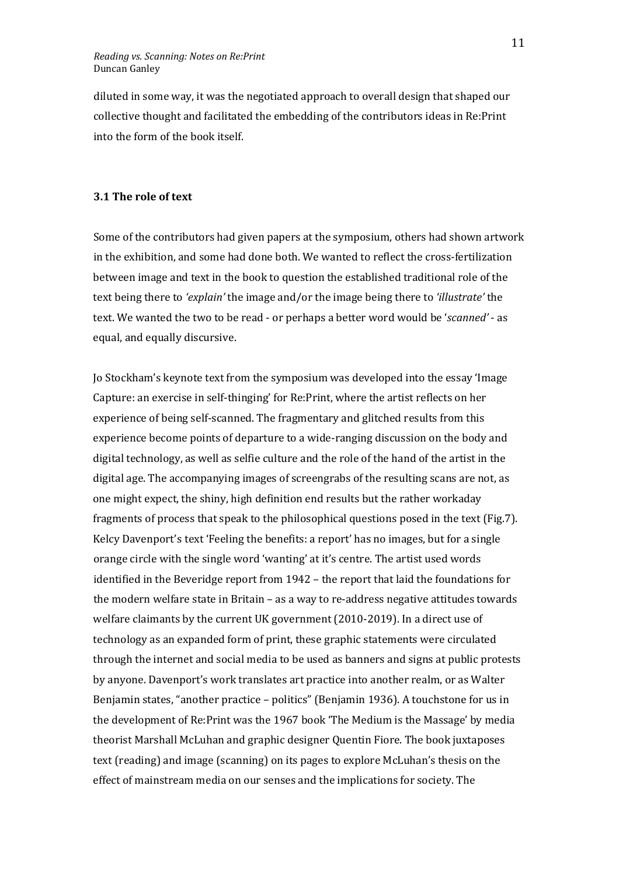diluted in some way, it was the negotiated approach to overall design that shaped our collective thought and facilitated the embedding of the contributors ideas in Re:Print into the form of the book itself.

## **3.1 The role of text**

Some of the contributors had given papers at the symposium, others had shown artwork in the exhibition, and some had done both. We wanted to reflect the cross-fertilization between image and text in the book to question the established traditional role of the text being there to *'explain'* the image and/or the image being there to *'illustrate'* the text. We wanted the two to be read - or perhaps a better word would be '*scanned'* - as equal, and equally discursive.

Jo Stockham's keynote text from the symposium was developed into the essay 'Image Capture: an exercise in self-thinging' for Re:Print, where the artist reflects on her experience of being self-scanned. The fragmentary and glitched results from this experience become points of departure to a wide-ranging discussion on the body and digital technology, as well as selfie culture and the role of the hand of the artist in the digital age. The accompanying images of screengrabs of the resulting scans are not, as one might expect, the shiny, high definition end results but the rather workaday fragments of process that speak to the philosophical questions posed in the text (Fig.7). Kelcy Davenport's text 'Feeling the benefits: a report' has no images, but for a single orange circle with the single word 'wanting' at it's centre. The artist used words identified in the Beveridge report from 1942 – the report that laid the foundations for the modern welfare state in Britain – as a way to re-address negative attitudes towards welfare claimants by the current UK government (2010-2019). In a direct use of technology as an expanded form of print, these graphic statements were circulated through the internet and social media to be used as banners and signs at public protests by anyone. Davenport's work translates art practice into another realm, or as Walter Benjamin states, "another practice – politics" (Benjamin 1936). A touchstone for us in the development of Re:Print was the 1967 book 'The Medium is the Massage' by media theorist Marshall McLuhan and graphic designer Quentin Fiore. The book juxtaposes text (reading) and image (scanning) on its pages to explore McLuhan's thesis on the effect of mainstream media on our senses and the implications for society. The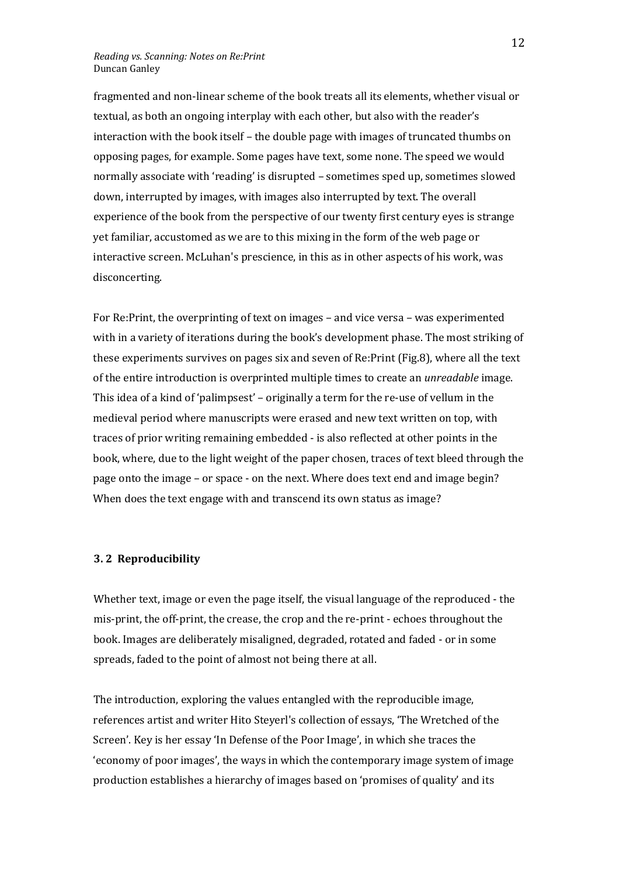fragmented and non-linear scheme of the book treats all its elements, whether visual or textual, as both an ongoing interplay with each other, but also with the reader's interaction with the book itself – the double page with images of truncated thumbs on opposing pages, for example. Some pages have text, some none. The speed we would normally associate with 'reading' is disrupted – sometimes sped up, sometimes slowed down, interrupted by images, with images also interrupted by text. The overall experience of the book from the perspective of our twenty first century eyes is strange yet familiar, accustomed as we are to this mixing in the form of the web page or interactive screen. McLuhan's prescience, in this as in other aspects of his work, was disconcerting.

For Re:Print, the overprinting of text on images – and vice versa – was experimented with in a variety of iterations during the book's development phase. The most striking of these experiments survives on pages six and seven of Re:Print (Fig.8), where all the text of the entire introduction is overprinted multiple times to create an *unreadable* image. This idea of a kind of 'palimpsest' – originally a term for the re-use of vellum in the medieval period where manuscripts were erased and new text written on top, with traces of prior writing remaining embedded - is also reflected at other points in the book, where, due to the light weight of the paper chosen, traces of text bleed through the page onto the image – or space - on the next. Where does text end and image begin? When does the text engage with and transcend its own status as image?

#### **3. 2 Reproducibility**

Whether text, image or even the page itself, the visual language of the reproduced - the mis-print, the off-print, the crease, the crop and the re-print - echoes throughout the book. Images are deliberately misaligned, degraded, rotated and faded - or in some spreads, faded to the point of almost not being there at all.

The introduction, exploring the values entangled with the reproducible image, references artist and writer Hito Steyerl's collection of essays, 'The Wretched of the Screen'. Key is her essay 'In Defense of the Poor Image', in which she traces the 'economy of poor images', the ways in which the contemporary image system of image production establishes a hierarchy of images based on 'promises of quality' and its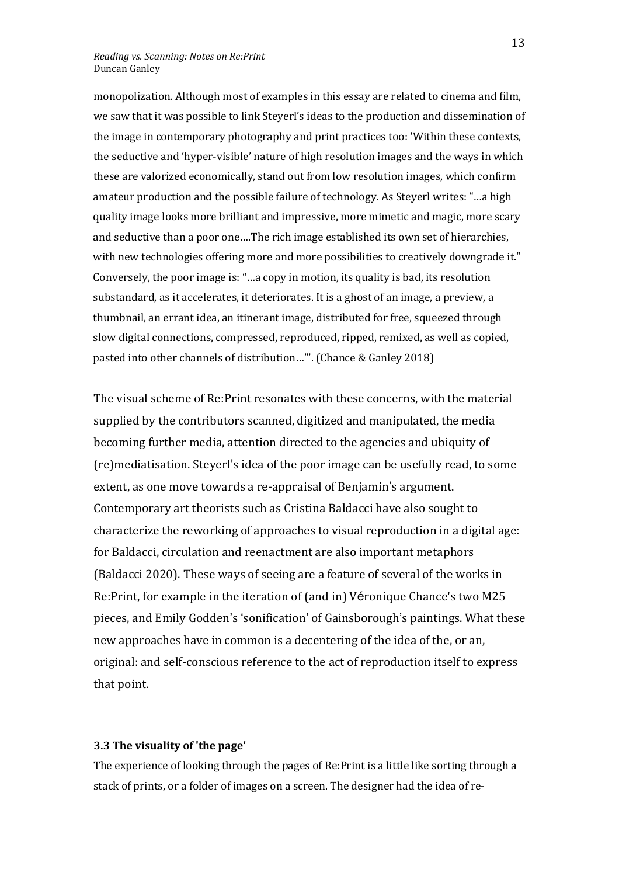monopolization. Although most of examples in this essay are related to cinema and film, we saw that it was possible to link Steyerl's ideas to the production and dissemination of the image in contemporary photography and print practices too: 'Within these contexts, the seductive and 'hyper-visible' nature of high resolution images and the ways in which these are valorized economically, stand out from low resolution images, which confirm amateur production and the possible failure of technology. As Steyerl writes: "…a high quality image looks more brilliant and impressive, more mimetic and magic, more scary and seductive than a poor one….The rich image established its own set of hierarchies, with new technologies offering more and more possibilities to creatively downgrade it." Conversely, the poor image is: "…a copy in motion, its quality is bad, its resolution substandard, as it accelerates, it deteriorates. It is a ghost of an image, a preview, a thumbnail, an errant idea, an itinerant image, distributed for free, squeezed through slow digital connections, compressed, reproduced, ripped, remixed, as well as copied, pasted into other channels of distribution…"'. (Chance & Ganley 2018)

The visual scheme of Re:Print resonates with these concerns, with the material supplied by the contributors scanned, digitized and manipulated, the media becoming further media, attention directed to the agencies and ubiquity of (re)mediatisation. Steyerl's idea of the poor image can be usefully read, to some extent, as one move towards a re-appraisal of Benjamin's argument. Contemporary art theorists such as Cristina Baldacci have also sought to characterize the reworking of approaches to visual reproduction in a digital age: for Baldacci, circulation and reenactment are also important metaphors (Baldacci 2020). These ways of seeing are a feature of several of the works in Re:Print, for example in the iteration of (and in) Véronique Chance's two M25 pieces, and Emily Godden's 'sonification' of Gainsborough's paintings. What these new approaches have in common is a decentering of the idea of the, or an, original: and self-conscious reference to the act of reproduction itself to express that point.

## **3.3 The visuality of 'the page'**

The experience of looking through the pages of Re:Print is a little like sorting through a stack of prints, or a folder of images on a screen. The designer had the idea of re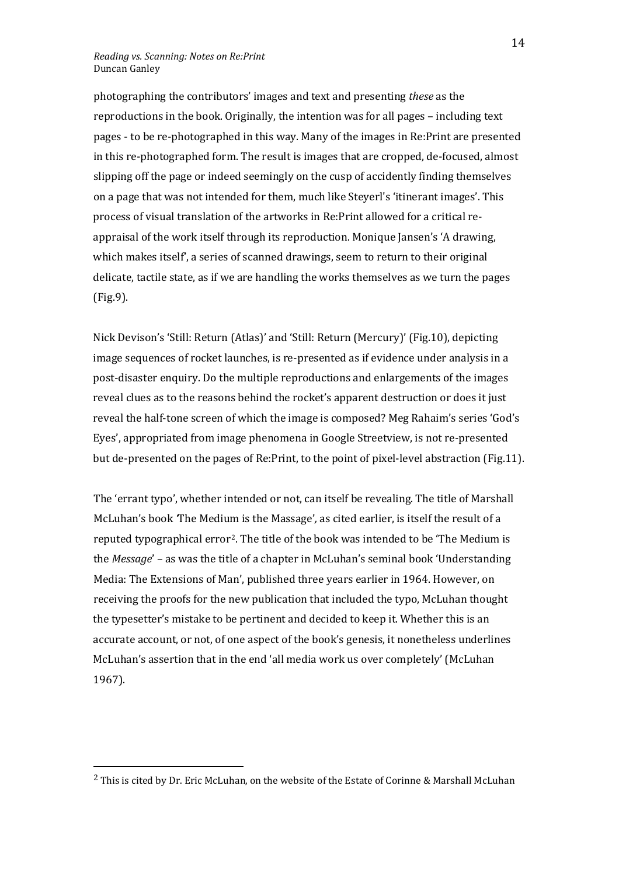photographing the contributors' images and text and presenting *these* as the reproductions in the book. Originally, the intention was for all pages – including text pages - to be re-photographed in this way. Many of the images in Re:Print are presented in this re-photographed form. The result is images that are cropped, de-focused, almost slipping off the page or indeed seemingly on the cusp of accidently finding themselves on a page that was not intended for them, much like Steyerl's 'itinerant images'. This process of visual translation of the artworks in Re:Print allowed for a critical reappraisal of the work itself through its reproduction. Monique Jansen's 'A drawing, which makes itself', a series of scanned drawings, seem to return to their original delicate, tactile state, as if we are handling the works themselves as we turn the pages (Fig.9).

Nick Devison's 'Still: Return (Atlas)' and 'Still: Return (Mercury)' (Fig.10), depicting image sequences of rocket launches, is re-presented as if evidence under analysis in a post-disaster enquiry. Do the multiple reproductions and enlargements of the images reveal clues as to the reasons behind the rocket's apparent destruction or does it just reveal the half-tone screen of which the image is composed? Meg Rahaim's series 'God's Eyes', appropriated from image phenomena in Google Streetview, is not re-presented but de-presented on the pages of Re:Print, to the point of pixel-level abstraction (Fig.11).

The 'errant typo', whether intended or not, can itself be revealing. The title of Marshall McLuhan's book *'*The Medium is the Massage'*,* as cited earlier, is itself the result of a reputed typographical error[2](#page-13-0). The title of the book was intended to be 'The Medium is the *Message*' – as was the title of a chapter in McLuhan's seminal book 'Understanding Media: The Extensions of Man', published three years earlier in 1964. However, on receiving the proofs for the new publication that included the typo, McLuhan thought the typesetter's mistake to be pertinent and decided to keep it. Whether this is an accurate account, or not, of one aspect of the book's genesis, it nonetheless underlines McLuhan's assertion that in the end 'all media work us over completely' (McLuhan 1967).

<span id="page-13-0"></span><sup>2</sup> This is cited by Dr. Eric McLuhan, on the website of the Estate of Corinne & Marshall McLuhan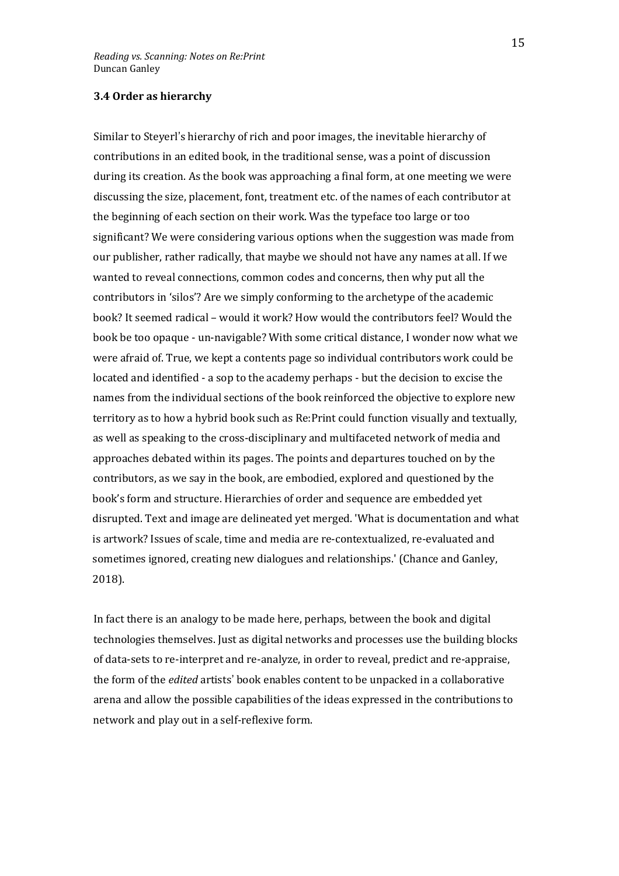## **3.4 Order as hierarchy**

Similar to Steyerl's hierarchy of rich and poor images, the inevitable hierarchy of contributions in an edited book, in the traditional sense, was a point of discussion during its creation. As the book was approaching a final form, at one meeting we were discussing the size, placement, font, treatment etc. of the names of each contributor at the beginning of each section on their work. Was the typeface too large or too significant? We were considering various options when the suggestion was made from our publisher, rather radically, that maybe we should not have any names at all. If we wanted to reveal connections, common codes and concerns, then why put all the contributors in 'silos'? Are we simply conforming to the archetype of the academic book? It seemed radical – would it work? How would the contributors feel? Would the book be too opaque - un-navigable? With some critical distance, I wonder now what we were afraid of. True, we kept a contents page so individual contributors work could be located and identified - a sop to the academy perhaps - but the decision to excise the names from the individual sections of the book reinforced the objective to explore new territory as to how a hybrid book such as Re:Print could function visually and textually, as well as speaking to the cross-disciplinary and multifaceted network of media and approaches debated within its pages. The points and departures touched on by the contributors, as we say in the book, are embodied, explored and questioned by the book's form and structure. Hierarchies of order and sequence are embedded yet disrupted. Text and image are delineated yet merged. 'What is documentation and what is artwork? Issues of scale, time and media are re-contextualized, re-evaluated and sometimes ignored, creating new dialogues and relationships.' (Chance and Ganley, 2018).

In fact there is an analogy to be made here, perhaps, between the book and digital technologies themselves. Just as digital networks and processes use the building blocks of data-sets to re-interpret and re-analyze, in order to reveal, predict and re-appraise, the form of the *edited* artists' book enables content to be unpacked in a collaborative arena and allow the possible capabilities of the ideas expressed in the contributions to network and play out in a self-reflexive form.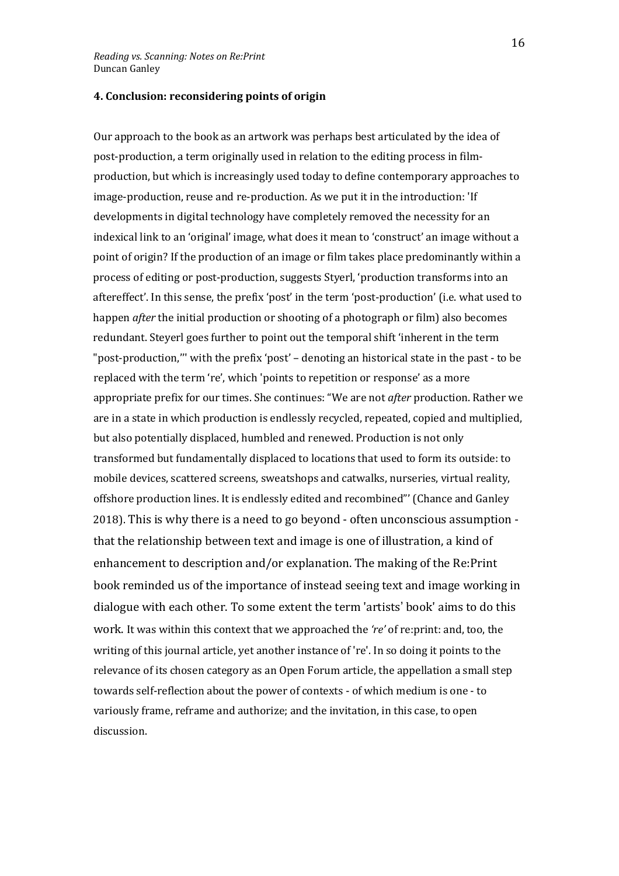## **4. Conclusion: reconsidering points of origin**

Our approach to the book as an artwork was perhaps best articulated by the idea of post-production, a term originally used in relation to the editing process in filmproduction, but which is increasingly used today to define contemporary approaches to image-production, reuse and re-production. As we put it in the introduction: 'If developments in digital technology have completely removed the necessity for an indexical link to an 'original' image, what does it mean to 'construct' an image without a point of origin? If the production of an image or film takes place predominantly within a process of editing or post-production, suggests Styerl, 'production transforms into an aftereffect'. In this sense, the prefix 'post' in the term 'post-production' (i.e. what used to happen *after* the initial production or shooting of a photograph or film) also becomes redundant. Steyerl goes further to point out the temporal shift 'inherent in the term "post-production,''' with the prefix 'post' – denoting an historical state in the past - to be replaced with the term 're', which 'points to repetition or response' as a more appropriate prefix for our times. She continues: "We are not *after* production. Rather we are in a state in which production is endlessly recycled, repeated, copied and multiplied, but also potentially displaced, humbled and renewed. Production is not only transformed but fundamentally displaced to locations that used to form its outside: to mobile devices, scattered screens, sweatshops and catwalks, nurseries, virtual reality, offshore production lines. It is endlessly edited and recombined"' (Chance and Ganley 2018). This is why there is a need to go beyond - often unconscious assumption that the relationship between text and image is one of illustration, a kind of enhancement to description and/or explanation. The making of the Re:Print book reminded us of the importance of instead seeing text and image working in dialogue with each other. To some extent the term 'artists' book' aims to do this work. It was within this context that we approached the *'re'* of re:print: and, too, the writing of this journal article, yet another instance of 're'. In so doing it points to the relevance of its chosen category as an Open Forum article, the appellation a small step towards self-reflection about the power of contexts - of which medium is one - to variously frame, reframe and authorize; and the invitation, in this case, to open discussion.